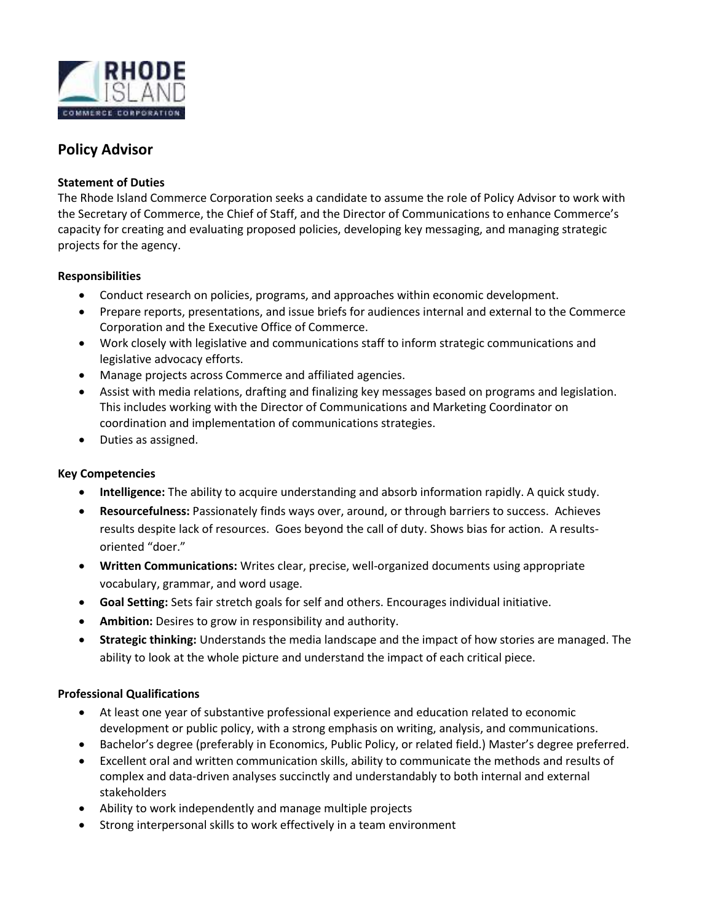

# **Policy Advisor**

## **Statement of Duties**

The Rhode Island Commerce Corporation seeks a candidate to assume the role of Policy Advisor to work with the Secretary of Commerce, the Chief of Staff, and the Director of Communications to enhance Commerce's capacity for creating and evaluating proposed policies, developing key messaging, and managing strategic projects for the agency.

### **Responsibilities**

- Conduct research on policies, programs, and approaches within economic development.
- Prepare reports, presentations, and issue briefs for audiences internal and external to the Commerce Corporation and the Executive Office of Commerce.
- Work closely with legislative and communications staff to inform strategic communications and legislative advocacy efforts.
- Manage projects across Commerce and affiliated agencies.
- Assist with media relations, drafting and finalizing key messages based on programs and legislation. This includes working with the Director of Communications and Marketing Coordinator on coordination and implementation of communications strategies.
- Duties as assigned.

#### **Key Competencies**

- Intelligence: The ability to acquire understanding and absorb information rapidly. A quick study.
- Resourcefulness: Passionately finds ways over, around, or through barriers to success. Achieves results despite lack of resources. Goes beyond the call of duty. Shows bias for action. A resultsoriented "doer."
- Written Communications: Writes clear, precise, well-organized documents using appropriate vocabulary, grammar, and word usage.
- Goal Setting: Sets fair stretch goals for self and others. Encourages individual initiative.
- Ambition: Desires to grow in responsibility and authority.
- Strategic thinking: Understands the media landscape and the impact of how stories are managed. The  $\bullet$ ability to look at the whole picture and understand the impact of each critical piece.

#### **Professional Qualifications**

- At least one year of substantive professional experience and education related to economic development or public policy, with a strong emphasis on writing, analysis, and communications.
- Bachelor's degree (preferably in Economics, Public Policy, or related field.) Master's degree preferred.
- Excellent oral and written communication skills, ability to communicate the methods and results of complex and data-driven analyses succinctly and understandably to both internal and external stakeholders
- Ability to work independently and manage multiple projects
- Strong interpersonal skills to work effectively in a team environment